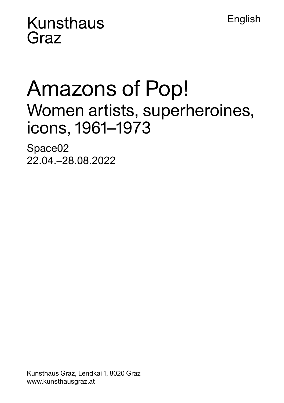**Kunsthaus** Graz

# Amazons of Pop! Women artists, superheroines, icons, 1961–1973

**English** 

Space02 22.04.–28.08.2022

Kunsthaus Graz, Lendkai 1, 8020 Graz www.kunsthausgraz.at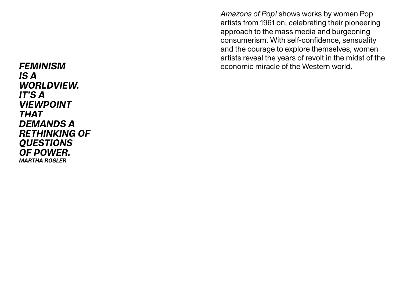IS A WORLDVIEW. IT'S A VIEWPOINT THAT DEMANDS A RETHINKING OF **QUESTIONS** OF POWER. MARTHA ROSLER

*Amazons of Pop!* shows works by women Pop artists from 1961 on, celebrating their pioneering approach to the mass media and burgeoning consumerism. With self-confidence, sensuality and the courage to explore themselves, women artists reveal the years of revolt in the midst of the FEMINISM economic miracle of the Western world.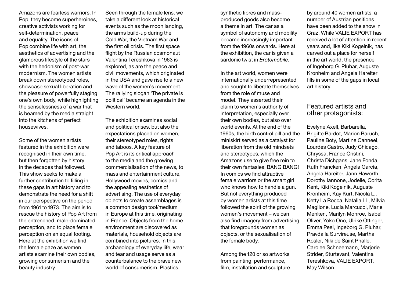Amazons are fearless warriors. In Pop, they become superheroines, creative activists working for self-determination, peace and equality. The icons of Pop combine life with art, the aesthetics of advertising and the glamorous lifestyle of the stars with the hedonism of post-war modernism. The women artists break down stereotyped roles, showcase sexual liberation and the pleasure of powerfully staging one's own body, while highlighting the senselessness of a war that is beamed by the media straight into the kitchens of perfect housewives.

Some of the women artists featured in the exhibition were recognised in their own time, but then forgotten by history in the decades that followed. This show seeks to make a further contribution to filling in these gaps in art history and to demonstrate the need for a shift in our perspective on the period from 1961 to 1973. The aim is to rescue the history of Pop Art from the entrenched, male-dominated perception, and to place female perception on an equal footing. Here at the exhibition we find the female gaze as women artists examine their own bodies, growing consumerism and the beauty industry.

Seen through the female lens, we take a different look at historical events such as the moon landing, the arms build-up during the Cold War, the Vietnam War and the first oil crisis. The first space flight by the Russian cosmonaut Valentina Tereshkova in 1963 is explored, as are the peace and civil movements, which originated in the USA and gave rise to a new wave of the women's movement. The rallying slogan 'The private is political' became an agenda in the Western world.

The exhibition examines social and political crises, but also the expectations placed on women, their stereotyped roles, rights and taboos. A key feature of Pop Art is its critical approach to the media and the growing commercialisation of the news, to mass and entertainment culture, Hollywood movies, comics and the appealing aesthetics of advertising. The use of everyday objects to create assemblages is a common design tool/medium in Europe at this time, originating in France. Objects from the home environment are discovered as materials, household objects are combined into pictures. In this archaeology of everyday life, wear and tear and usage serve as a counterbalance to the brave new world of consumerism. Plastics,

synthetic fibres and massproduced goods also become a theme in art. The car as a symbol of autonomy and mobility became increasingly important from the 1960s onwards. Here at the exhibition, the car is given a sardonic twist in *Erotomobile*.

In the art world, women were internationally underrepresented and sought to liberate themselves from the role of muse and model. They asserted their claim to women's authority of interpretation, especially over their own bodies, but also over world events. At the end of the 1960s, the birth control pill and the miniskirt served as a catalyst for liberation from the old mindsets and stereotypes, which the Amazons use to give free rein to their own fantasies. BANG BANG! In comics we find attractive female warriors or the smart girl who knows how to handle a gun. But not everything produced by women artists at this time followed the spirit of the growing women's movement – we can also find imagery from advertising that foregrounds women as objects, or the sexualisation of the female body.

Among the 120 or so artworks from painting, performance, film, installation and sculpture

by around 40 women artists, a number of Austrian positions have been added to the show in Graz. While VALIE EXPORT has received a lot of attention in recent years and, like Kiki Kogelnik, has carved out a place for herself in the art world, the presence of Ingeborg G. Pluhar, Auguste Kronheim and Angela Hareiter fills in some of the gaps in local art history.

### Featured artists and other protagonists:

Evelyne Axell, Barbarella, Brigitte Bardot, Marion Baruch, Pauline Boty, Martine Canneel, Lourdes Castro, Judy Chicago, Chryssa, France Cristini, Christa Dichgans, Jane Fonda, Ruth Francken, Ángela García, Angela Hareiter, Jann Haworth, Dorothy Iannone, Jodelle, Corita Kent, Kiki Kogelnik, Auguste Kronheim, Kay Kurt, Nicola L., Ketty La Rocca, Natalia LL, Milvia Maglione, Lucia Marcucci, Marie Menken, Marilyn Monroe, Isabel Oliver, Yoko Ono, Ulrike Ottinger, Emma Peel, Ingeborg G. Pluhar, Pravda la Survireuse, Martha Rosler, Niki de Saint Phalle, Carolee Schneemann, Marjorie Strider, Sturtevant, Valentina Tereshkova, VALIE EXPORT, May Wilson.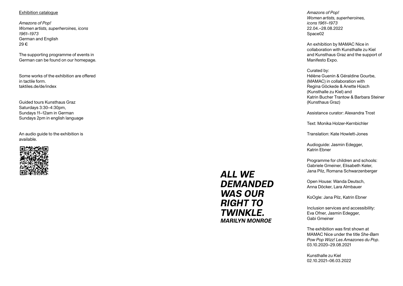#### Exhibition catalogue

*Amazons of Pop! Women artists, superheroines, icons 1961–1973* German and English 29 €

The supporting programme of events in German can be found on our homepage.

Some works of the exhibition are offered in tactile form. taktiles.de/de/index

Guided tours Kunsthaus Graz Saturdays 3:30–4:30pm, Sundays 11–12am in German Sundays 2pm in english language

An audio guide to the exhibition is available.



## ALL WE **DEMANDED** WAS OUR RIGHT TO TWINKLE. MARILYN MONROE

*Amazons of Pop! Women artists, superheroines, icons 1961–1973* 22.04.–28.08.2022 Space02

An exhibition by MAMAC Nice in collaboration with Kunsthalle zu Kiel and Kunsthaus Graz and the support of Manifesto Expo.

#### Curated by: Hélène Guenin & Géraldine Gourbe, (MAMAC) in collaboration with Regina Göckede & Anette Hüsch (Kunsthalle zu Kiel) and Katrin Bucher Trantow & Barbara Steiner (Kunsthaus Graz)

Assistance curator: Alexandra Trost

Text: Monika Holzer-Kernbichler

Translation: Kate Howlett-Jones

Audioguide: Jasmin Edegger, Katrin Ebner

Programme for children and schools: Gabriele Gmeiner, Elisabeth Keler, Jana Pilz, Romana Schwarzenberger

Open House: Wanda Deutsch, Anna Döcker, Lara Almbauer

KoOgle: Jana Pilz, Katrin Ebner

Inclusion services and accessibility: Eva Ofner, Jasmin Edegger, Gabi Gmeiner

The exhibition was first shown at MAMAC Nice under the title *She-Bam Pow Pop Wizz! Les Amazones du Pop*. 03.10.2020–29.08.2021

Kunsthalle zu Kiel 02.10.2021–06.03.2022